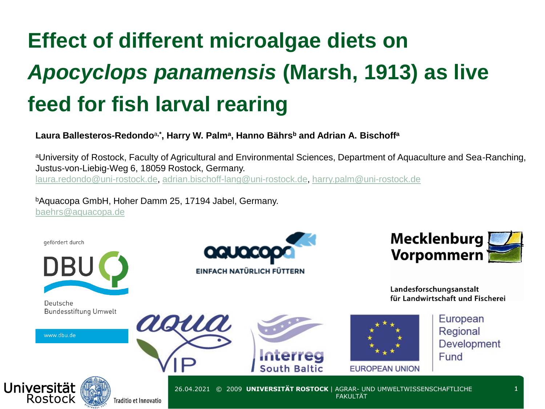## **Effect of different microalgae diets on**  *Apocyclops panamensis* **(Marsh, 1913) as live feed for fish larval rearing**

#### **Laura Ballesteros-Redondo**<sup>a</sup>**,\*, Harry W. Palm<sup>a</sup> , Hanno Bährs<sup>b</sup> and Adrian A. Bischoff<sup>a</sup>**

aUniversity of Rostock, Faculty of Agricultural and Environmental Sciences, Department of Aquaculture and Sea-Ranching, Justus-von-Liebig-Weg 6, 18059 Rostock, Germany. [laura.redondo@uni-rostock.de](mailto:laura.redondo@uni-rostock.de), [adrian.bischoff-lang@uni-rostock.de](mailto:adrian.bischoff-lang@uni-rostock.de), [harry.palm@uni-rostock.de](mailto:harry.palm@uni-rostock.de)

<sup>b</sup>Aquacopa GmbH, Hoher Damm 25, 17194 Jabel, Germany. [baehrs@aquacopa.de](mailto:baehrs@aquacopa.de)

aoua

gefördert durch



Deutsche **Bundesstiftung Umwelt** 

www.dbu.de





Landesforschungsanstalt für Landwirtschaft und Fischerei





European Regional **Development** Fund



26.04.2021 © 2009 **UNIVERSITÄT ROSTOCK** | AGRAR- UND UMWELTWISSENSCHAFTLICHE **FAKULTÄT**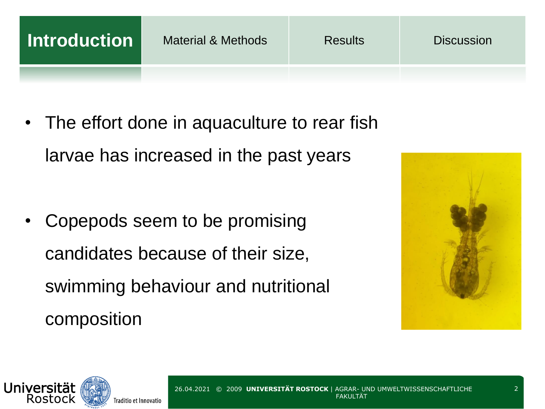**Introduction** Material & Methods Results Discussion

• The effort done in aquaculture to rear fish larvae has increased in the past years

• Copepods seem to be promising candidates because of their size, swimming behaviour and nutritional composition



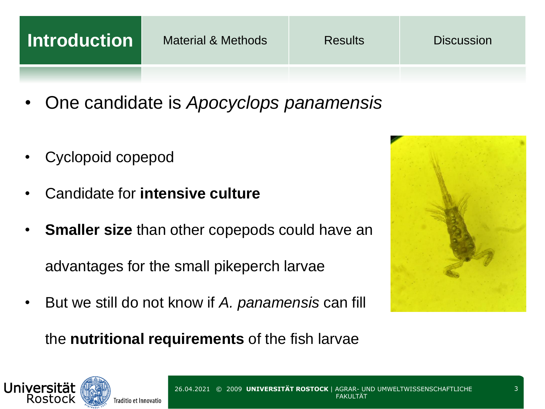| Introduction | <b>Material &amp; Methods</b> | <b>Results</b> | <b>Discussion</b> |
|--------------|-------------------------------|----------------|-------------------|
|              | <b>.</b>                      |                |                   |

- One candidate is *Apocyclops panamensis*
- Cyclopoid copepod
- Candidate for **intensive culture**
- **Smaller size than other copepods could have an**

advantages for the small pikeperch larvae

• But we still do not know if *A. panamensis* can fill



the **nutritional requirements** of the fish larvae

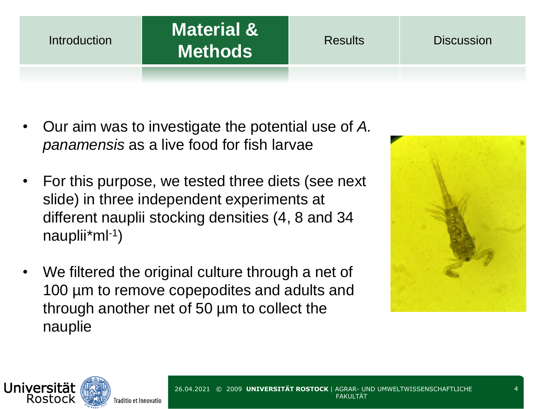#### **Introduction**

### **Material & Methods** Results Discussion

- Our aim was to investigate the potential use of *A. panamensis* as a live food for fish larvae
- For this purpose, we tested three diets (see next slide) in three independent experiments at different nauplii stocking densities (4, 8 and 34 nauplii\*ml-1 )
- We filtered the original culture through a net of 100 µm to remove copepodites and adults and through another net of 50 µm to collect the nauplie



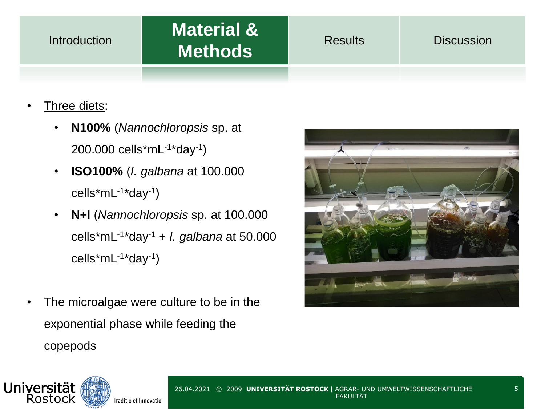#### **Introduction**

# **Material &**

- Three diets:
	- **N100%** (*Nannochloropsis* sp. at 200.000 cells\*mL-1 \*day-1 )
	- **ISO100%** (*I. galbana* at 100.000 cells\*mL<sup>-1\*</sup>day<sup>-1</sup>)
	- **N+I** (*Nannochloropsis* sp. at 100.000 cells\*mL-1 \*day-1 + *I. galbana* at 50.000 cells\*mL-1 \*day-1 )
- The microalgae were culture to be in the exponential phase while feeding the copepods



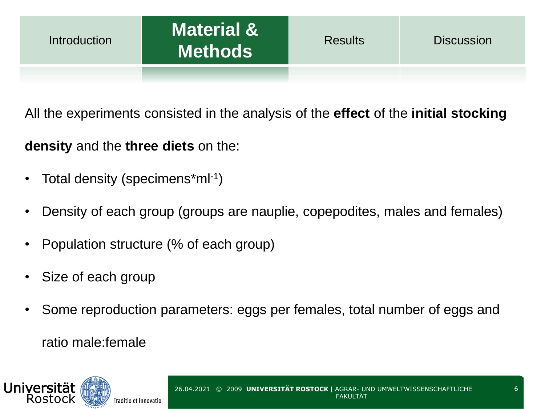All the experiments consisted in the analysis of the **effect** of the **initial stocking** 

#### **density** and the **three diets** on the:

- Total density (specimens\*ml-1)
- Density of each group (groups are nauplie, copepodites, males and females)
- Population structure (% of each group)
- Size of each group
- Some reproduction parameters: eggs per females, total number of eggs and ratio male:female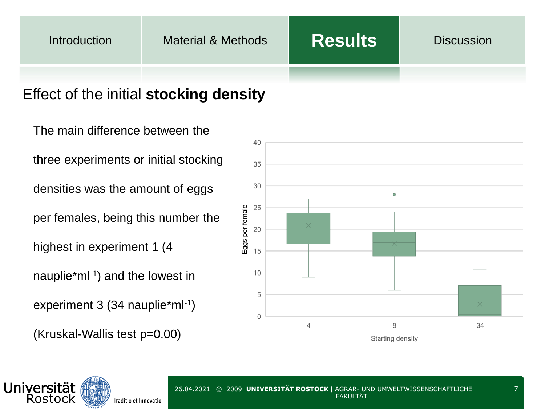#### Effect of the initial **stocking density**

The main difference between the three experiments or initial stocking densities was the amount of eggs per females, being this number the highest in experiment 1 (4 nauplie\*ml-1 ) and the lowest in experiment 3 (34 nauplie\*ml-1) (Kruskal-Wallis test p=0.00)



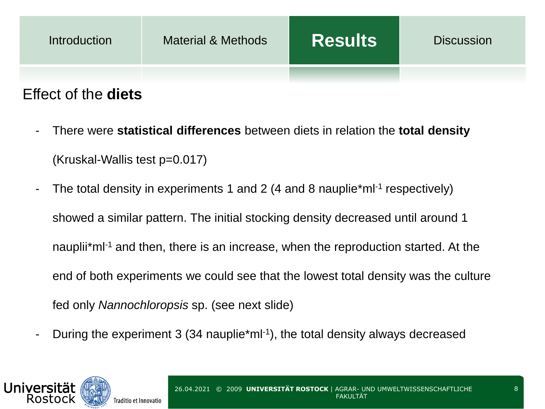

- There were **statistical differences** between diets in relation the **total density** (Kruskal-Wallis test p=0.017)
- The total density in experiments 1 and 2 (4 and 8 nauplie\*ml<sup>-1</sup> respectively) showed a similar pattern. The initial stocking density decreased until around 1 nauplii\*ml-1 and then, there is an increase, when the reproduction started. At the end of both experiments we could see that the lowest total density was the culture fed only *Nannochloropsis* sp. (see next slide)
- During the experiment 3 (34 nauplie\*ml<sup>-1</sup>), the total density always decreased

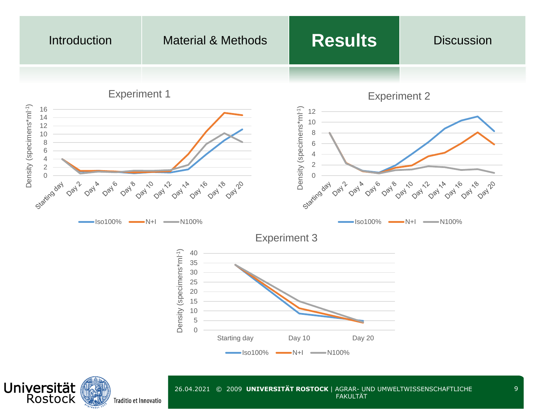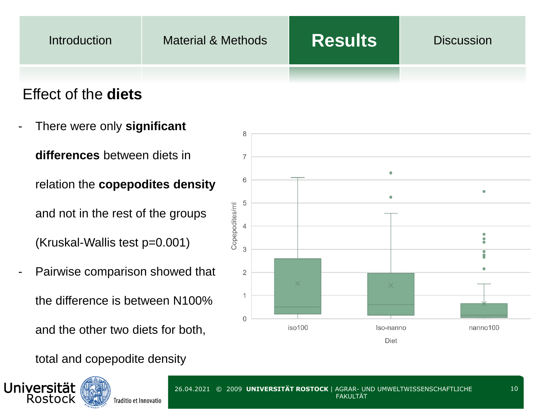| <b>Introduction</b> | Material & Methods | <b>Results</b> | <b>Discussion</b> |
|---------------------|--------------------|----------------|-------------------|
|                     |                    |                |                   |

#### Effect of the **diets**

- There were only **significant differences** between diets in relation the **copepodites density** and not in the rest of the groups (Kruskal-Wallis test p=0.001)
- Pairwise comparison showed that the difference is between N100% and the other two diets for both,

total and copepodite density





10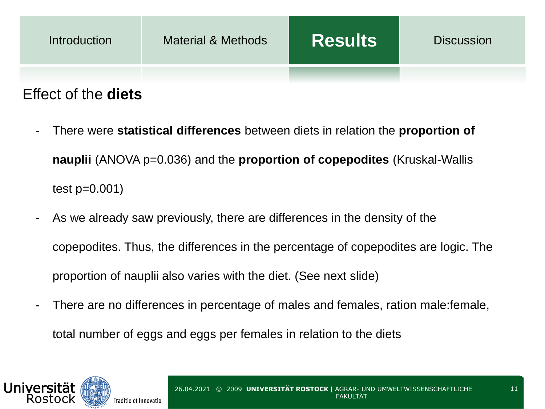

#### Effect of the **diets**

- There were **statistical differences** between diets in relation the **proportion of nauplii** (ANOVA p=0.036) and the **proportion of copepodites** (Kruskal-Wallis test p=0.001)
- As we already saw previously, there are differences in the density of the copepodites. Thus, the differences in the percentage of copepodites are logic. The proportion of nauplii also varies with the diet. (See next slide)
- There are no differences in percentage of males and females, ration male: female, total number of eggs and eggs per females in relation to the diets



11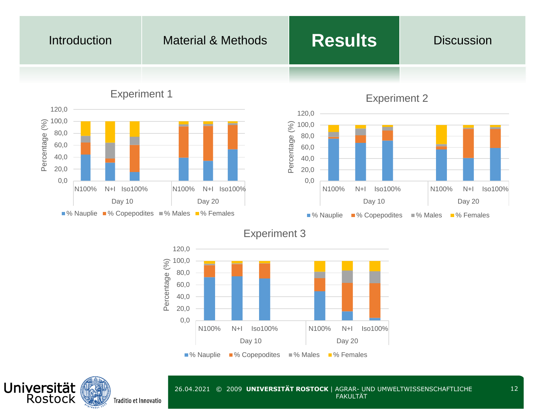#### Introduction Material & Methods **Results** Discussion 120,0 Experiment 2 120,0 Experiment 1





Experiment 3



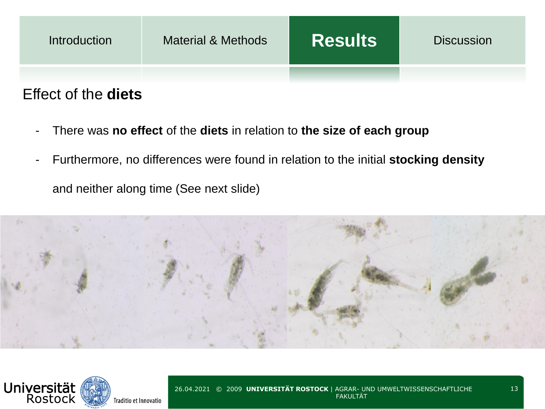

- There was **no effect** of the **diets** in relation to **the size of each group**
- Furthermore, no differences were found in relation to the initial **stocking density** and neither along time (See next slide)



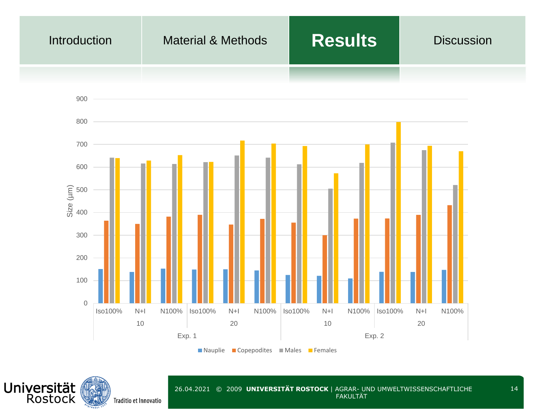

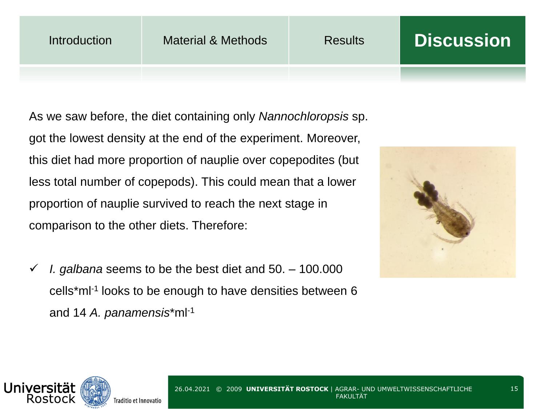As we saw before, the diet containing only *Nannochloropsis* sp. got the lowest density at the end of the experiment. Moreover, this diet had more proportion of nauplie over copepodites (but less total number of copepods). This could mean that a lower proportion of nauplie survived to reach the next stage in comparison to the other diets. Therefore:

✓ *I. galbana* seems to be the best diet and 50. – 100.000 cells\*ml-1 looks to be enough to have densities between 6 and 14 *A. panamensis*\*ml-1



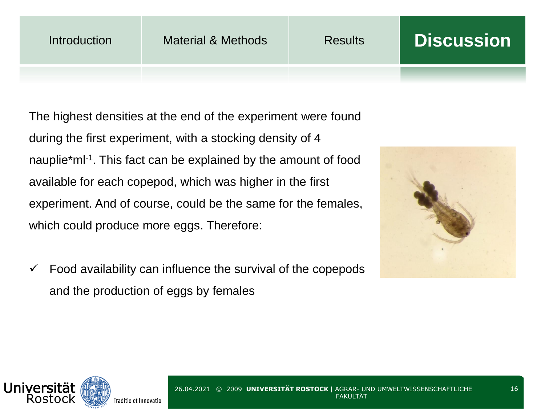The highest densities at the end of the experiment were found during the first experiment, with a stocking density of 4 nauplie\*ml<sup>-1</sup>. This fact can be explained by the amount of food available for each copepod, which was higher in the first experiment. And of course, could be the same for the females, which could produce more eggs. Therefore:

 $\checkmark$  Food availability can influence the survival of the copepods and the production of eggs by females



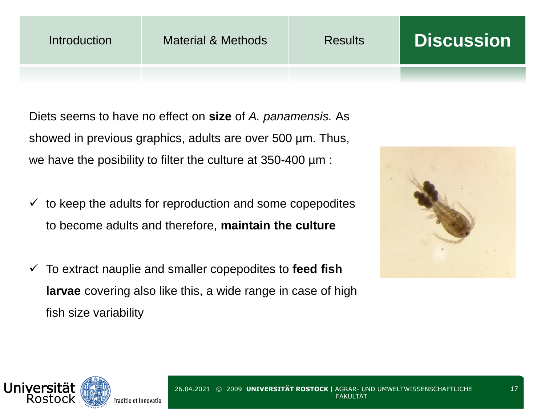Diets seems to have no effect on **size** of *A. panamensis.* As showed in previous graphics, adults are over 500 µm. Thus, we have the posibility to filter the culture at 350-400 µm :

- $\checkmark$  to keep the adults for reproduction and some copepodites to become adults and therefore, **maintain the culture**
- ✓ To extract nauplie and smaller copepodites to **feed fish larvae** covering also like this, a wide range in case of high fish size variability



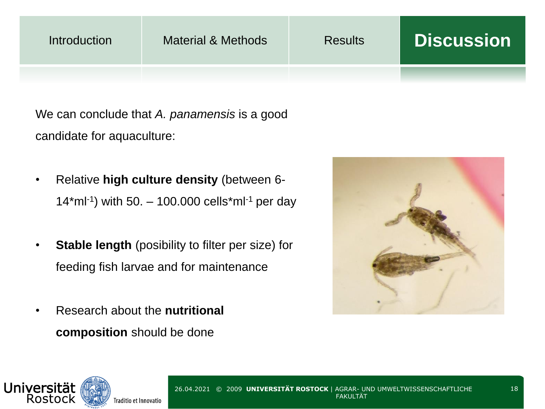| Introduction | Material & Methods | <b>Results</b> | <b>Discussion</b> |
|--------------|--------------------|----------------|-------------------|
|              |                    |                |                   |

We can conclude that *A. panamensis* is a good candidate for aquaculture:

- Relative **high culture density** (between 6- 14\*ml-1 ) with 50. – 100.000 cells\*ml-1 per day
- **Stable length** (posibility to filter per size) for feeding fish larvae and for maintenance
- Research about the **nutritional composition** should be done